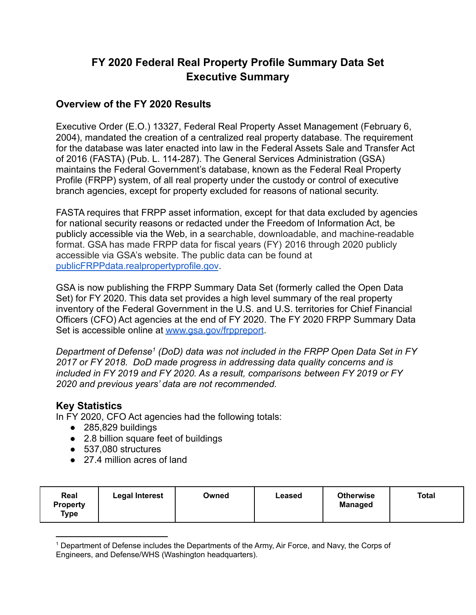# **FY 2020 Federal Real Property Profile Summary Data Set Executive Summary**

#### **Overview of the FY 2020 Results**

Executive Order (E.O.) 13327, Federal Real Property Asset Management (February 6, 2004), mandated the creation of a centralized real property database. The requirement for the database was later enacted into law in the Federal Assets Sale and Transfer Act of 2016 (FASTA) (Pub. L. 114-287). The General Services Administration (GSA) maintains the Federal Government's database, known as the Federal Real Property Profile (FRPP) system, of all real property under the custody or control of executive branch agencies, except for property excluded for reasons of national security.

FASTA requires that FRPP asset information, except for that data excluded by agencies for national security reasons or redacted under the Freedom of Information Act, be publicly accessible via the Web, in a searchable, downloadable, and machine-readable format. GSA has made FRPP data for fiscal years (FY) 2016 through 2020 publicly accessible via GSA's website. The public data can be found at [publicFRPPdata.realpropertyprofile.gov](https://publicfrppdata.realpropertyprofile.gov/).

GSA is now publishing the FRPP Summary Data Set (formerly called the Open Data Set) for FY 2020. This data set provides a high level summary of the real property inventory of the Federal Government in the U.S. and U.S. territories for Chief Financial Officers (CFO) Act agencies at the end of FY 2020. The FY 2020 FRPP Summary Data Set is accessible online at [www.gsa.gov/frppreport](http://www.gsa.gov/frppreport).

*Department of Defense<sup>1</sup> (DoD) data was not included in the FRPP Open Data Set in FY 2017 or FY 2018. DoD made progress in addressing data quality concerns and is included in FY 2019 and FY 2020. As a result, comparisons between FY 2019 or FY 2020 and previous years' data are not recommended.*

### **Key Statistics**

In FY 2020, CFO Act agencies had the following totals:

- 285,829 buildings
- 2.8 billion square feet of buildings
- 537,080 structures
- 27.4 million acres of land

| Real<br><b>Otherwise</b><br>Total<br><b>Legal Interest</b><br>Owned<br>Leased<br><b>Managed</b><br><b>Property</b><br>Type |
|----------------------------------------------------------------------------------------------------------------------------|
|----------------------------------------------------------------------------------------------------------------------------|

<sup>1</sup> Department of Defense includes the Departments of the Army, Air Force, and Navy, the Corps of Engineers, and Defense/WHS (Washington headquarters).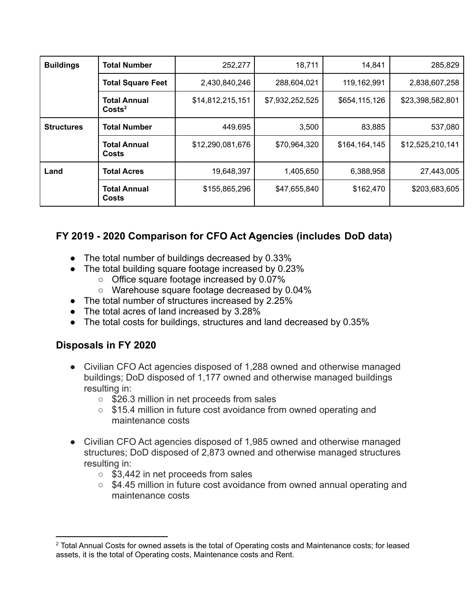| <b>Buildings</b>  | <b>Total Number</b>                     | 252,277          | 18,711          | 14,841        | 285,829          |
|-------------------|-----------------------------------------|------------------|-----------------|---------------|------------------|
|                   | <b>Total Square Feet</b>                | 2,430,840,246    | 288,604,021     | 119,162,991   | 2,838,607,258    |
|                   | <b>Total Annual</b><br>$\text{Costs}^2$ | \$14,812,215,151 | \$7,932,252,525 | \$654,115,126 | \$23,398,582,801 |
| <b>Structures</b> | <b>Total Number</b>                     | 449.695          | 3,500           | 83,885        | 537,080          |
|                   | <b>Total Annual</b><br>Costs            | \$12,290,081,676 | \$70,964,320    | \$164,164,145 | \$12,525,210,141 |
| Land              | <b>Total Acres</b>                      | 19,648,397       | 1,405,650       | 6,388,958     | 27,443,005       |
|                   | <b>Total Annual</b><br>Costs            | \$155,865,296    | \$47,655,840    | \$162,470     | \$203,683,605    |

## **FY 2019 - 2020 Comparison for CFO Act Agencies (includes DoD data)**

- The total number of buildings decreased by 0.33%
- The total building square footage increased by 0.23%
	- Office square footage increased by 0.07%
	- Warehouse square footage decreased by 0.04%
- The total number of structures increased by 2.25%
- The total acres of land increased by 3.28%
- The total costs for buildings, structures and land decreased by 0.35%

### **Disposals in FY 2020**

- Civilian CFO Act agencies disposed of 1,288 owned and otherwise managed buildings; DoD disposed of 1,177 owned and otherwise managed buildings resulting in:
	- \$26.3 million in net proceeds from sales
	- \$15.4 million in future cost avoidance from owned operating and maintenance costs
- Civilian CFO Act agencies disposed of 1,985 owned and otherwise managed structures; DoD disposed of 2,873 owned and otherwise managed structures resulting in:
	- \$3,442 in net proceeds from sales
	- \$4.45 million in future cost avoidance from owned annual operating and maintenance costs

<sup>&</sup>lt;sup>2</sup> Total Annual Costs for owned assets is the total of Operating costs and Maintenance costs; for leased assets, it is the total of Operating costs, Maintenance costs and Rent.